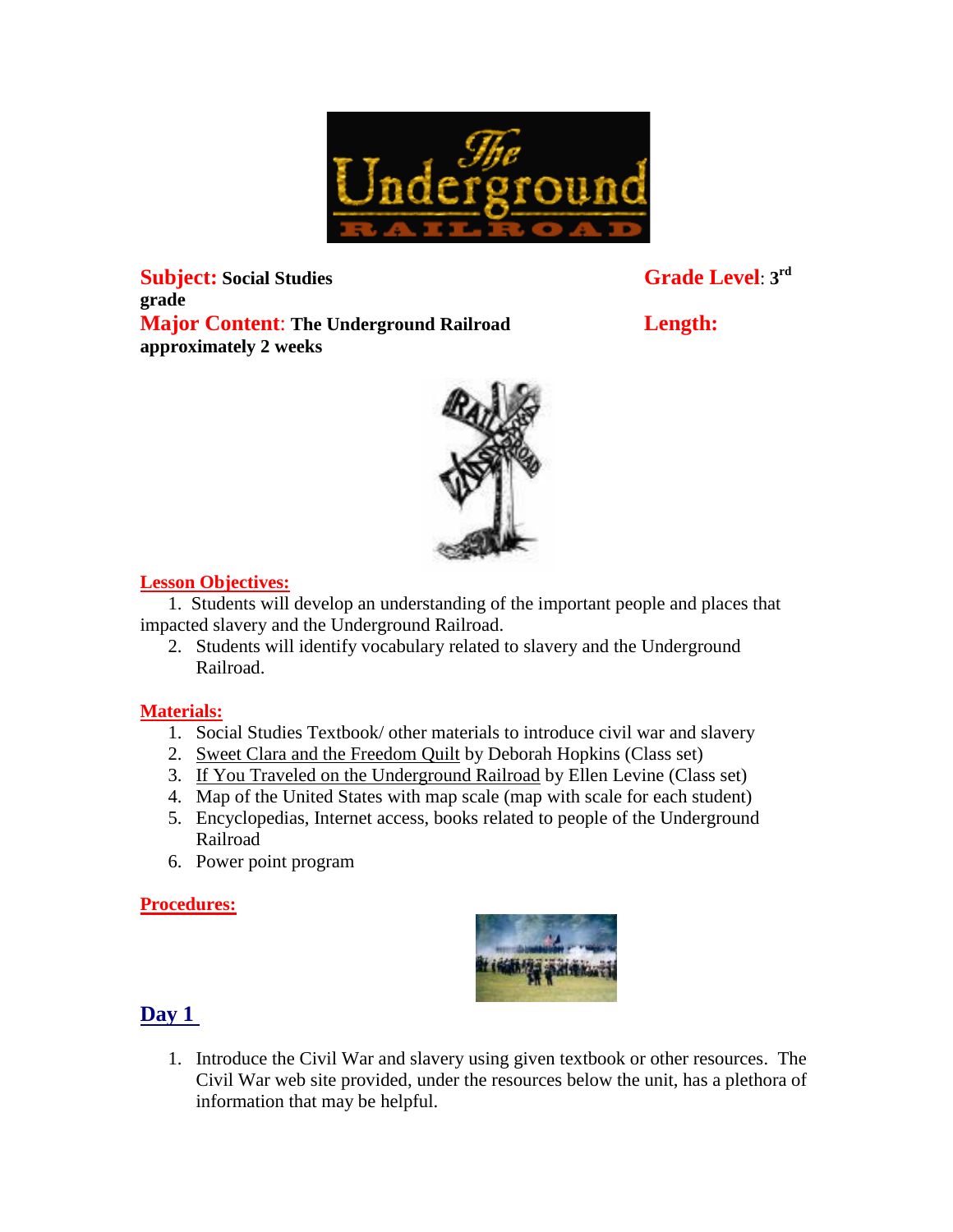

 $\textbf{Subject:}$  **Social Studies grade Major Content**: **The Underground Railroad Length: approximately 2 weeks**

**Grade Level: 3rd** 

### **Lesson Objectives:**

1. Students will develop an understanding of the important people and places that impacted slavery and the Underground Railroad.

2. Students will identify vocabulary related to slavery and the Underground Railroad.

#### **Materials:**

- 1. Social Studies Textbook/ other materials to introduce civil war and slavery
- 2. Sweet Clara and the Freedom Quilt by Deborah Hopkins (Class set)
- 3. If You Traveled on the Underground Railroad by Ellen Levine (Class set)
- 4. Map of the United States with map scale (map with scale for each student)
- 5. Encyclopedias, Internet access, books related to people of the Underground Railroad
- 6. Power point program

#### **Procedures:**



### **Day 1**

1. Introduce the Civil War and slavery using given textbook or other resources. The Civil War web site provided, under the resources below the unit, has a plethora of information that may be helpful.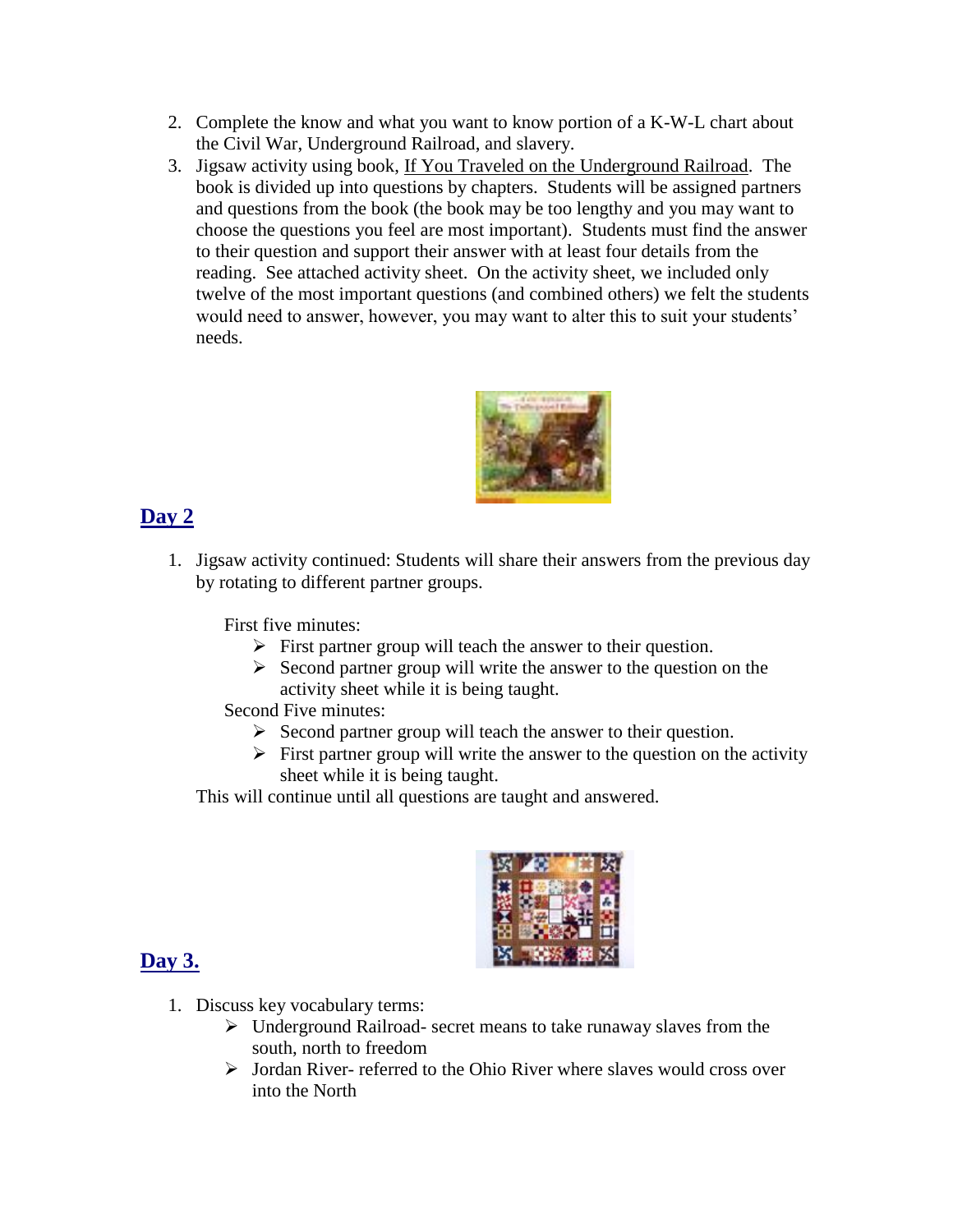- 2. Complete the know and what you want to know portion of a K-W-L chart about the Civil War, Underground Railroad, and slavery.
- 3. Jigsaw activity using book, If You Traveled on the Underground Railroad. The book is divided up into questions by chapters. Students will be assigned partners and questions from the book (the book may be too lengthy and you may want to choose the questions you feel are most important). Students must find the answer to their question and support their answer with at least four details from the reading. See attached activity sheet. On the activity sheet, we included only twelve of the most important questions (and combined others) we felt the students would need to answer, however, you may want to alter this to suit your students' needs.



# **Day 2**

1. Jigsaw activity continued: Students will share their answers from the previous day by rotating to different partner groups.

First five minutes:

- $\triangleright$  First partner group will teach the answer to their question.
- $\triangleright$  Second partner group will write the answer to the question on the activity sheet while it is being taught.

Second Five minutes:

- $\triangleright$  Second partner group will teach the answer to their question.
- $\triangleright$  First partner group will write the answer to the question on the activity sheet while it is being taught.

This will continue until all questions are taught and answered.



# **Day 3.**

- 1. Discuss key vocabulary terms:
	- Underground Railroad- secret means to take runaway slaves from the south, north to freedom
	- $\triangleright$  Jordan River- referred to the Ohio River where slaves would cross over into the North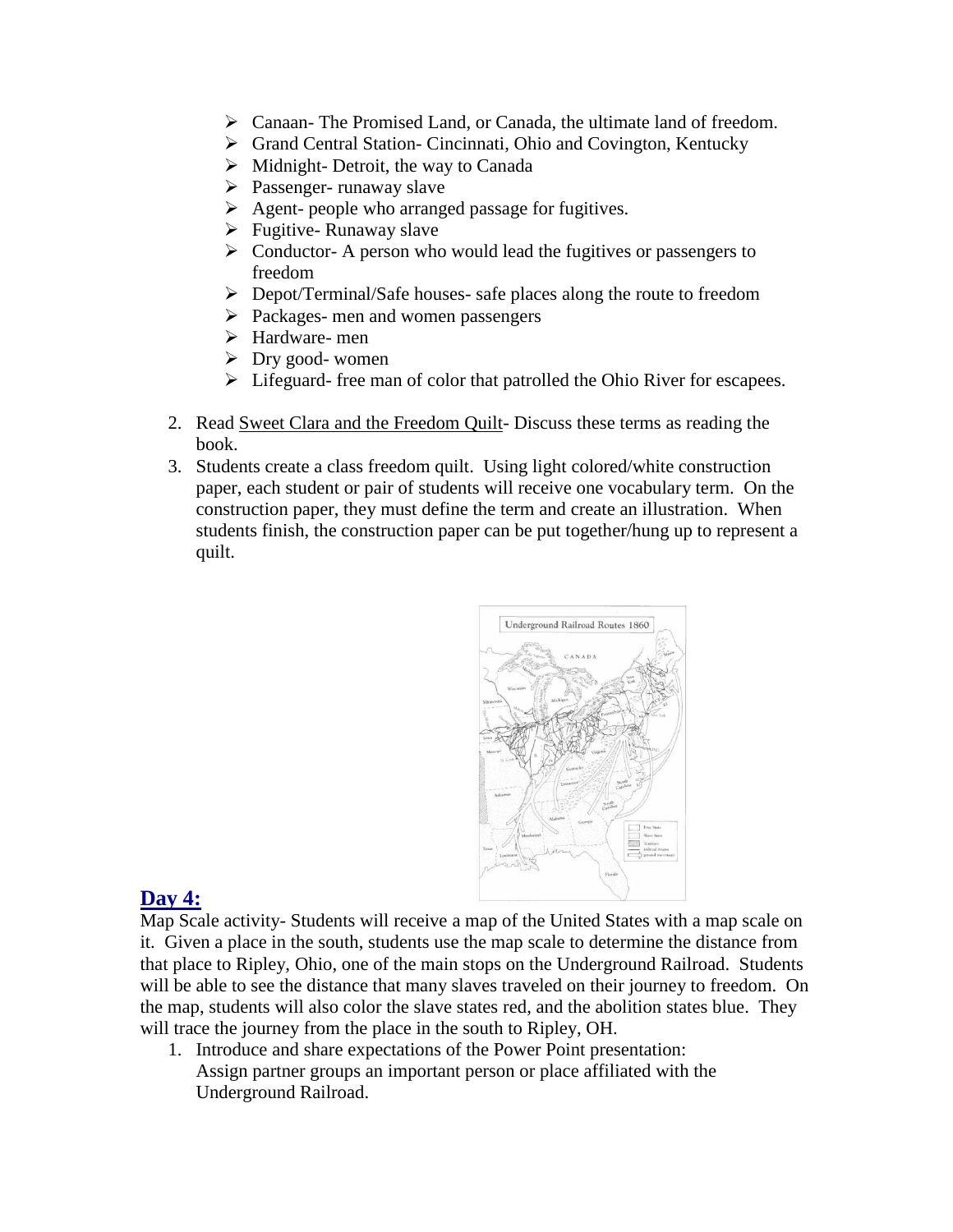- Canaan- The Promised Land, or Canada, the ultimate land of freedom.
- Grand Central Station- Cincinnati, Ohio and Covington, Kentucky
- $\triangleright$  Midnight-Detroit, the way to Canada
- $\triangleright$  Passenger- runaway slave
- $\triangleright$  Agent- people who arranged passage for fugitives.
- $\triangleright$  Fugitive- Runaway slave
- $\triangleright$  Conductor- A person who would lead the fugitives or passengers to freedom
- Depot/Terminal/Safe houses- safe places along the route to freedom
- $\triangleright$  Packages- men and women passengers
- Hardware- men
- $\triangleright$  Dry good- women
- $\triangleright$  Lifeguard- free man of color that patrolled the Ohio River for escapees.
- 2. Read Sweet Clara and the Freedom Quilt- Discuss these terms as reading the book.
- 3. Students create a class freedom quilt. Using light colored/white construction paper, each student or pair of students will receive one vocabulary term. On the construction paper, they must define the term and create an illustration. When students finish, the construction paper can be put together/hung up to represent a quilt.



## **Day 4:**

Map Scale activity- Students will receive a map of the United States with a map scale on it. Given a place in the south, students use the map scale to determine the distance from that place to Ripley, Ohio, one of the main stops on the Underground Railroad. Students will be able to see the distance that many slaves traveled on their journey to freedom. On the map, students will also color the slave states red, and the abolition states blue. They will trace the journey from the place in the south to Ripley, OH.

1. Introduce and share expectations of the Power Point presentation: Assign partner groups an important person or place affiliated with the Underground Railroad.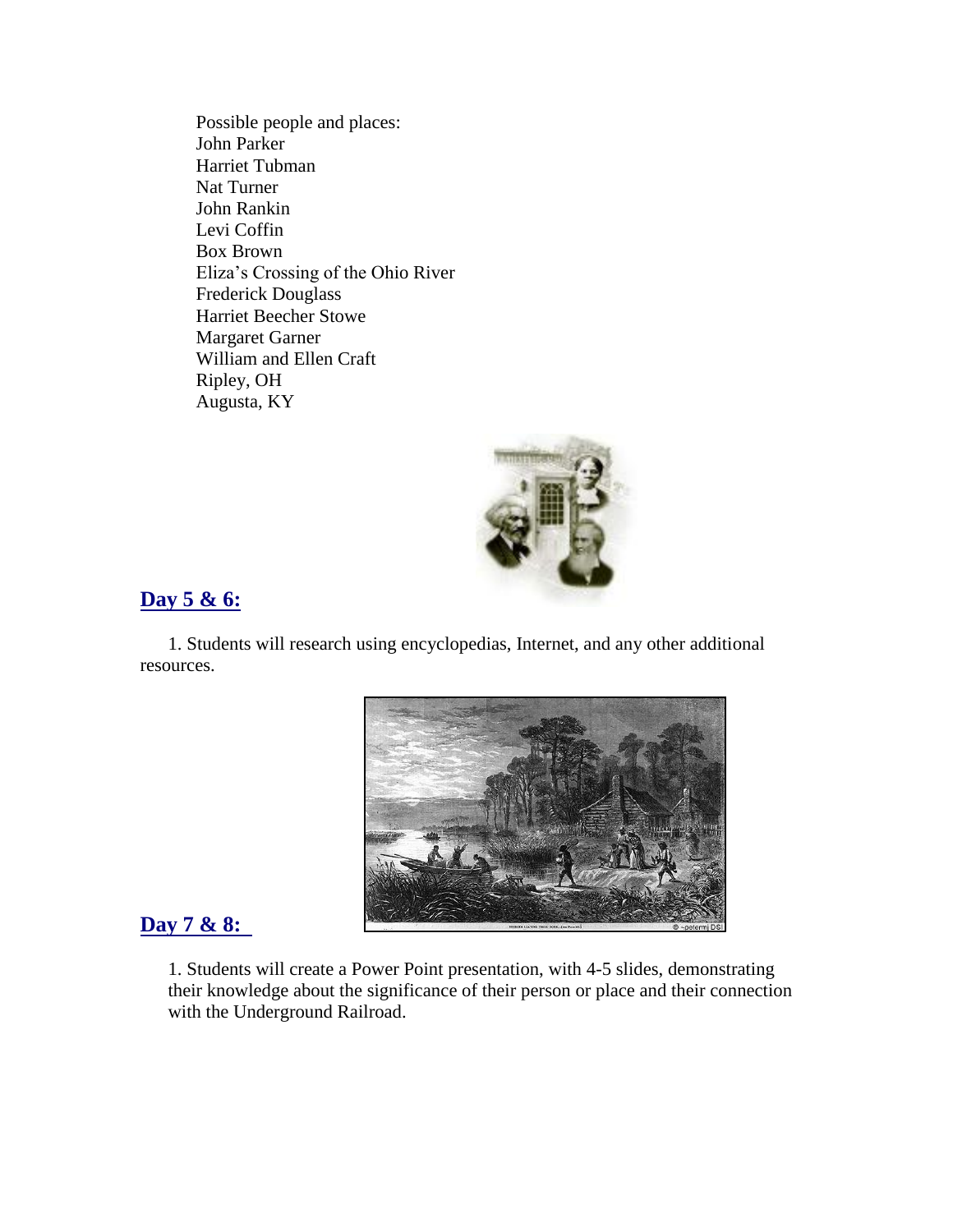Possible people and places: John Parker Harriet Tubman Nat Turner John Rankin Levi Coffin Box Brown Eliza's Crossing of the Ohio River Frederick Douglass Harriet Beecher Stowe Margaret Garner William and Ellen Craft Ripley, OH Augusta, KY



## **Day 5 & 6:**

1. Students will research using encyclopedias, Internet, and any other additional resources.



### **Day 7 & 8:**

1. Students will create a Power Point presentation, with 4-5 slides, demonstrating their knowledge about the significance of their person or place and their connection with the Underground Railroad.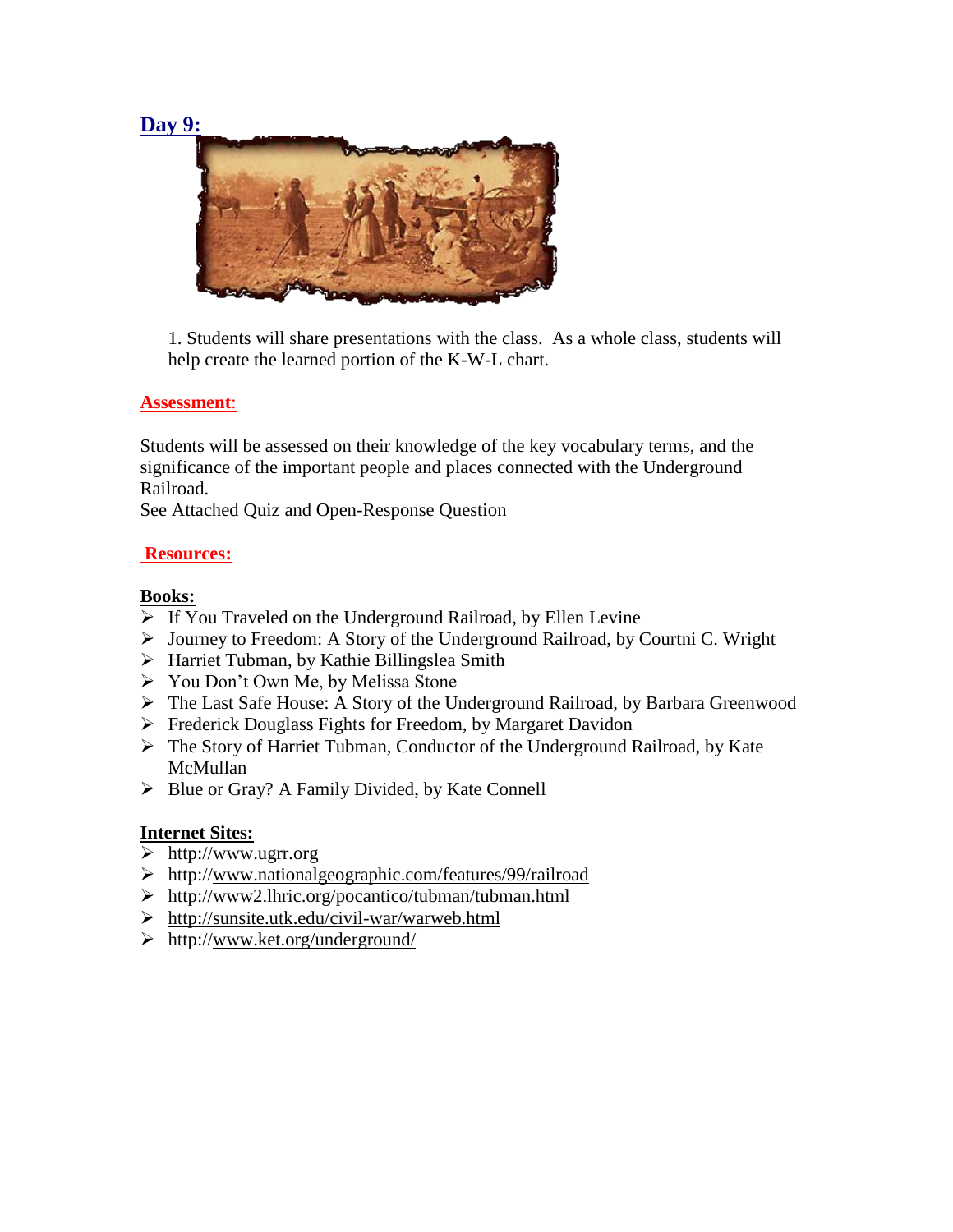### **Day 9:**



1. Students will share presentations with the class. As a whole class, students will help create the learned portion of the K-W-L chart.

### **Assessment**:

Students will be assessed on their knowledge of the key vocabulary terms, and the significance of the important people and places connected with the Underground Railroad.

See Attached Quiz and Open-Response Question

### **Resources:**

### **Books:**

- $\triangleright$  If You Traveled on the Underground Railroad, by Ellen Levine
- Journey to Freedom: A Story of the Underground Railroad, by Courtni C. Wright
- $\triangleright$  Harriet Tubman, by Kathie Billingslea Smith
- You Don't Own Me, by Melissa Stone
- The Last Safe House: A Story of the Underground Railroad, by Barbara Greenwood
- Frederick Douglass Fights for Freedom, by Margaret Davidon
- The Story of Harriet Tubman, Conductor of the Underground Railroad, by Kate McMullan
- $\triangleright$  Blue or Gray? A Family Divided, by Kate Connell

### **Internet Sites:**

- $\triangleright$  http:/[/www.ugrr.org](http://www.ugrr.org/)
- http:/[/www.nationalgeographic.com/features/99/railroad](http://www.nationalgeographic.com/features/99/railroad)
- http://www2.lhric.org/pocantico/tubman/tubman.html
- <http://sunsite.utk.edu/civil-war/warweb.html>
- http:/[/www.ket.org/underground/](http://www.ket.org/underground/)